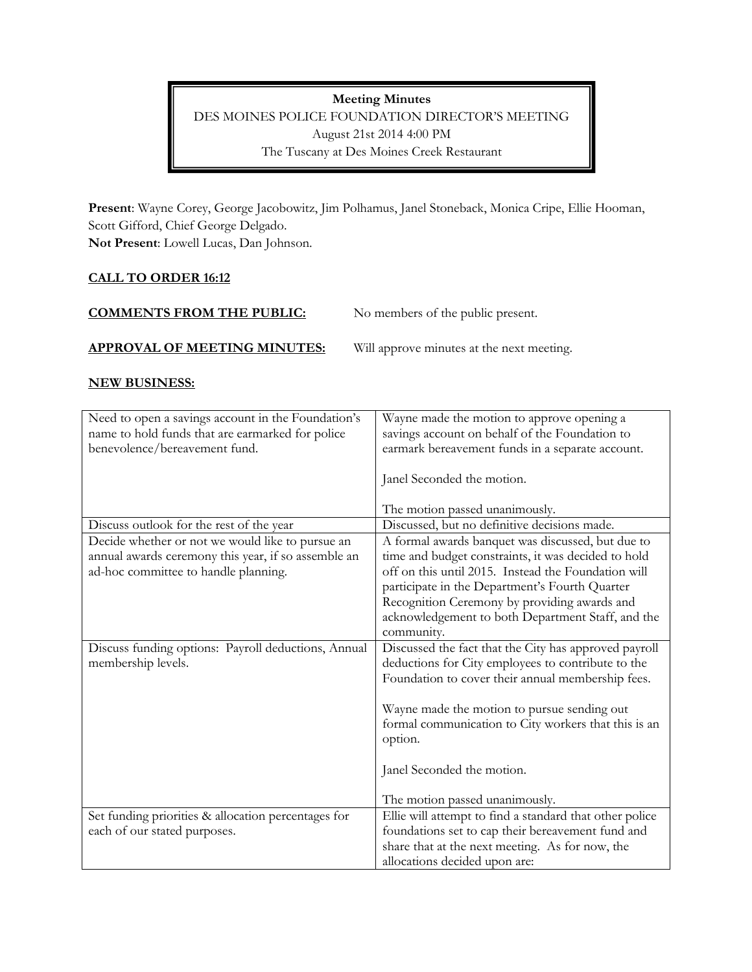**Meeting Minutes** DES MOINES POLICE FOUNDATION DIRECTOR'S MEETING August 21st 2014 4:00 PM The Tuscany at Des Moines Creek Restaurant

**Present**: Wayne Corey, George Jacobowitz, Jim Polhamus, Janel Stoneback, Monica Cripe, Ellie Hooman, Scott Gifford, Chief George Delgado.

**Not Present**: Lowell Lucas, Dan Johnson.

## **CALL TO ORDER 16:12**

| <b>COMMENTS FROM THE PUBLIC:</b>    | No members of the public present.         |
|-------------------------------------|-------------------------------------------|
| <b>APPROVAL OF MEETING MINUTES:</b> | Will approve minutes at the next meeting. |

## **NEW BUSINESS:**

| Need to open a savings account in the Foundation's  | Wayne made the motion to approve opening a              |
|-----------------------------------------------------|---------------------------------------------------------|
| name to hold funds that are earmarked for police    | savings account on behalf of the Foundation to          |
| benevolence/bereavement fund.                       | earmark bereavement funds in a separate account.        |
|                                                     | Janel Seconded the motion.                              |
|                                                     |                                                         |
|                                                     | The motion passed unanimously.                          |
| Discuss outlook for the rest of the year            | Discussed, but no definitive decisions made.            |
| Decide whether or not we would like to pursue an    | A formal awards banquet was discussed, but due to       |
| annual awards ceremony this year, if so assemble an | time and budget constraints, it was decided to hold     |
| ad-hoc committee to handle planning.                | off on this until 2015. Instead the Foundation will     |
|                                                     | participate in the Department's Fourth Quarter          |
|                                                     | Recognition Ceremony by providing awards and            |
|                                                     | acknowledgement to both Department Staff, and the       |
|                                                     | community.                                              |
| Discuss funding options: Payroll deductions, Annual | Discussed the fact that the City has approved payroll   |
| membership levels.                                  | deductions for City employees to contribute to the      |
|                                                     | Foundation to cover their annual membership fees.       |
|                                                     |                                                         |
|                                                     | Wayne made the motion to pursue sending out             |
|                                                     | formal communication to City workers that this is an    |
|                                                     | option.                                                 |
|                                                     |                                                         |
|                                                     | Janel Seconded the motion.                              |
|                                                     |                                                         |
|                                                     | The motion passed unanimously.                          |
| Set funding priorities & allocation percentages for | Ellie will attempt to find a standard that other police |
| each of our stated purposes.                        | foundations set to cap their bereavement fund and       |
|                                                     | share that at the next meeting. As for now, the         |
|                                                     | allocations decided upon are:                           |